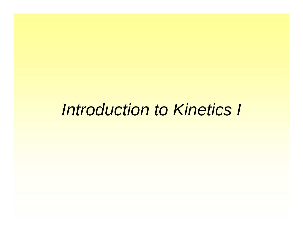# *Introduction to Kinetics I*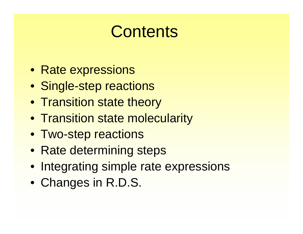# **Contents**

- Rate expressions
- Single-step reactions
- Transition state theory
- Transition state molecularity
- Two-step reactions
- Rate determining steps
- Integrating simple rate expressions
- Changes in R.D.S.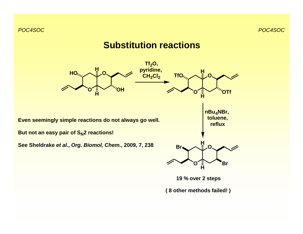# **Substitution reactions**

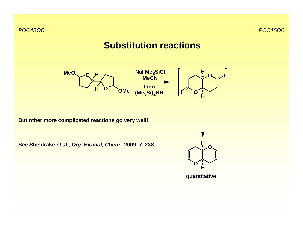# **Substitution reactions**

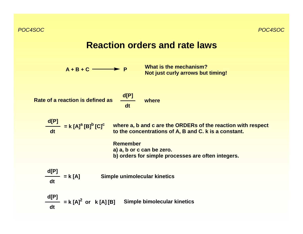## **Reaction orders and rate laws**

**A + B + CP** **What is the mechanism? Not just curly arrows but timing!**

**Rate of a reaction is defined as**

$$
\frac{d[P]}{dt} \quad \text{where}
$$

$$
\frac{d[P]}{dt} = k [A]^a [B]^b [C]^c
$$

 **where a, b and c are the ORDERs of the reaction with respect to the concentrations of A, B and C. k is a constant.**

**Remembera) a, b or c can be zero. b) orders for simple processes are often integers.**

$$
\frac{d[P]}{dt} = k [A] \qquad \text{Simple unimolecular kinetics}
$$

**d[P] dt** $=$  **k**  $[A]^2$  or **k**  $[A][B]$ **Simple bimolecular kinetics**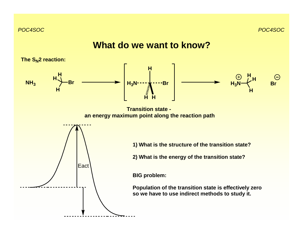### **What do we want to know?**

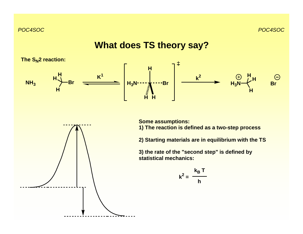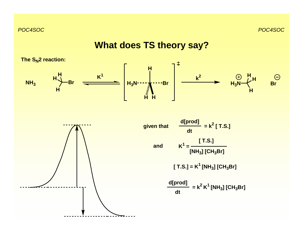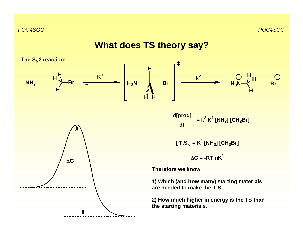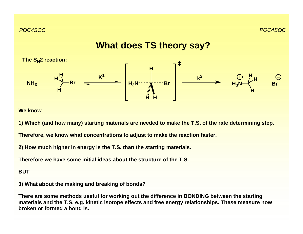

#### **We know**

**1) Which (and how many) starting materials are needed to make the T.S. of the rate determining step.**

**Therefore, we know what concentrations to adjust to make the reaction faster.**

**2) How much higher in energy is the T.S. than the starting materials.**

**Therefore we have some initial ideas about the structure of the T.S.**

#### **BUT**

**3) What about the making and breaking of bonds?**

**There are some methods useful for working out the difference in BONDING between the starting materials and the T.S. e.g. kinetic isotope effects and free energy relationships. These measure how broken or formed a bond is.**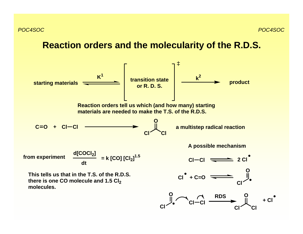### **Reaction orders and the molecularity of the R.D.S.**

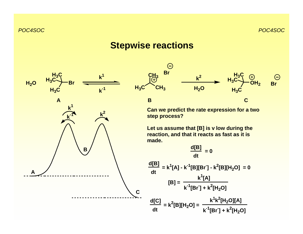# **Stepwise reactions**





**Can we predict the rate expression for a two step process?**

**Let us assume that [B] is v low during the reaction, and that it reacts as fast as it is made.**

$$
\frac{d[B]}{dt} = 0
$$
  

$$
\frac{d[B]}{dt} = k^{1}[A] - k^{-1}[B][Br] - k^{2}[B][H_{2}O] = 0
$$
  

$$
[B] = \frac{k^{1}[A]}{k^{-1}[Br] + k^{2}[H_{2}O]}
$$
  

$$
\frac{d[C]}{dt} = k^{2}[B][H_{2}O] = \frac{k^{1}k^{2}[H_{2}O][A]}{k^{-1}[Br] + k^{2}[H_{2}O]}
$$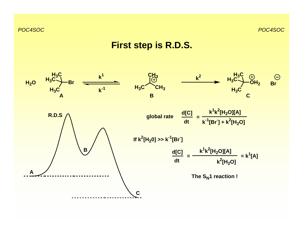# **First step is R.D.S.**

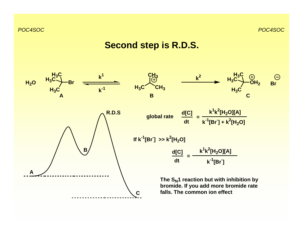## **Second step is R.D.S.**

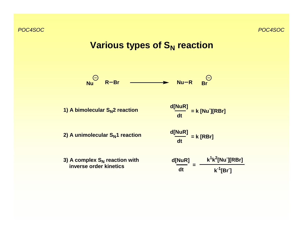# **Various types of S<sub>N</sub> reaction**



**1) A bimolecular S<sub>N</sub>2 reaction** 

$$
\frac{d[NuR]}{dt} = k [Nu][RBr]
$$

**2) A unimolecular S<sub>N</sub>1 reaction** 

$$
\frac{d[NuR]}{dt} = k [RBr]
$$

**d[NuR] dt<sup>k</sup>1k2[Nu-][RBr] k-1[Br-] =3) A complex S<sub>N</sub> reaction with inverse order kinetics**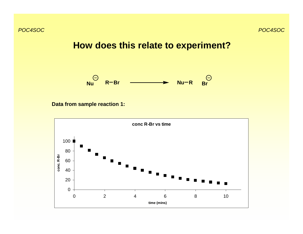**How does this relate to experiment?**



**Data from sample reaction 1:**

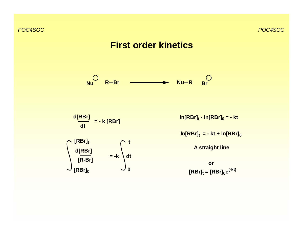# **First order kinetics**

**NuR Br Nu R Br**

**d[RBr] dt = - k [RBr]**

**= -k dt**

**t**

**0**

**[RBr]t**

**d[RBr]**

**[RBr]0**

**[R-Br]**

 $ln[RBr]_t - ln[RBr]_0 = -kt$ 

**ln[RBr]t = - kt + ln[RBr]0**

**A straight line**

 $[RBr]_t = [RBr]_0e^{(-kt)}$ **or**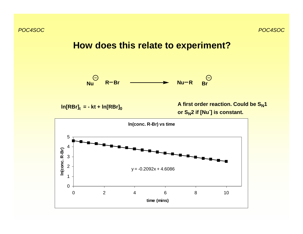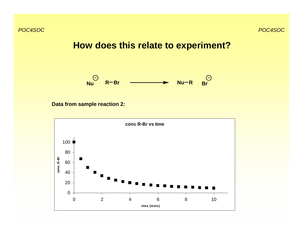**How does this relate to experiment?**



**Data from sample reaction 2:**

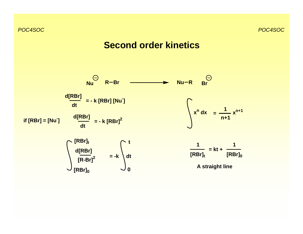### **Second order kinetics**

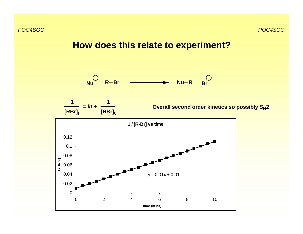**How does this relate to experiment?**



**= kt +**

**1**

**1**



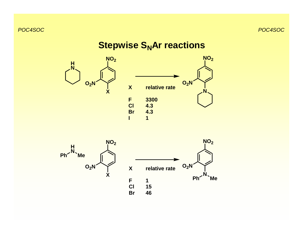# **Stepwise S<sub>N</sub>Ar reactions**

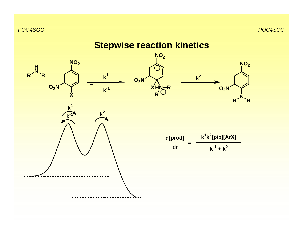# **Stepwise reaction kinetics**

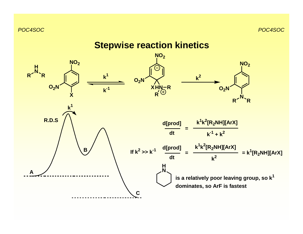